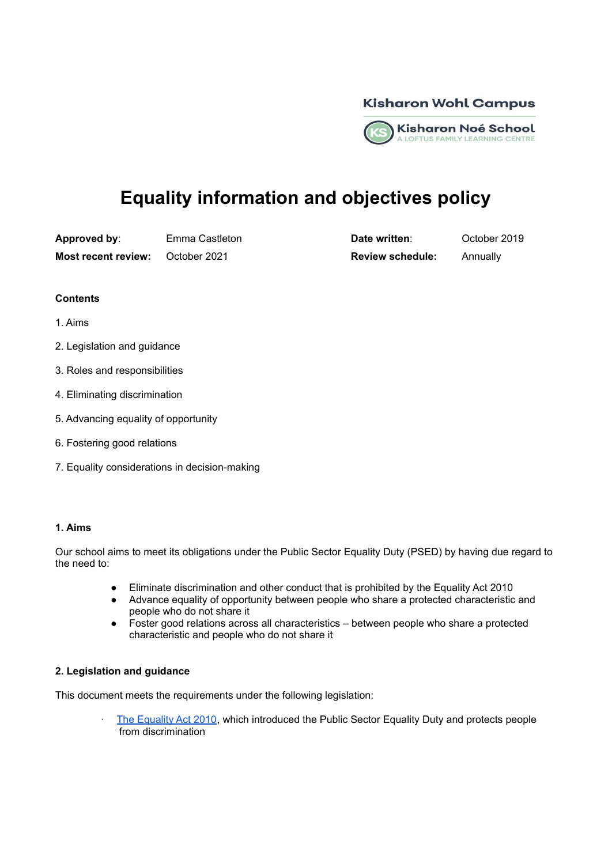

# **Equality information and objectives policy**

**Approved by:** Emma Castleton **Date written**: October 2019

**Most recent review:** October 2021 **Review schedule:** Annually

# **Contents**

- 1. Aims
- 2. Legislation and guidance
- 3. Roles and responsibilities
- 4. Eliminating discrimination
- 5. Advancing equality of opportunity
- 6. Fostering good relations
- 7. Equality considerations in decision-making

#### **1. Aims**

Our school aims to meet its obligations under the Public Sector Equality Duty (PSED) by having due regard to the need to:

- Eliminate discrimination and other conduct that is prohibited by the Equality Act 2010
- Advance equality of opportunity between people who share a protected characteristic and people who do not share it
- Foster good relations across all characteristics between people who share a protected characteristic and people who do not share it

# **2. Legislation and guidance**

This document meets the requirements under the following legislation:

The [Equality](http://www.legislation.gov.uk/ukpga/2010/15/contents) Act 2010, which introduced the Public Sector Equality Duty and protects people from discrimination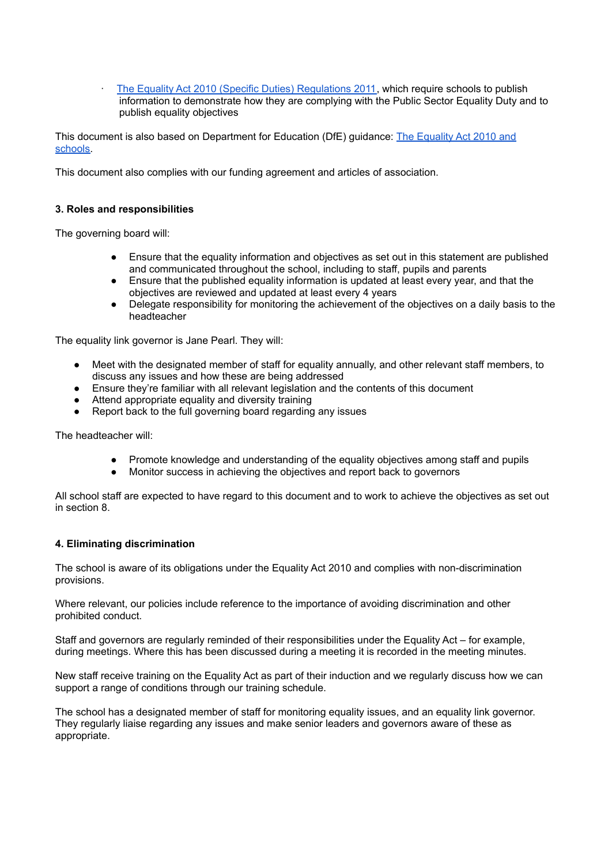· The Equality Act 2010 (Specific Duties) [Regulations](http://www.legislation.gov.uk/uksi/2011/2260/contents/made) 2011, which require schools to publish information to demonstrate how they are complying with the Public Sector Equality Duty and to publish equality objectives

This document is also based on Department for Education (DfE) guidance: The [Equality](https://www.gov.uk/government/publications/equality-act-2010-advice-for-schools) Act 2010 and [schools.](https://www.gov.uk/government/publications/equality-act-2010-advice-for-schools)

This document also complies with our funding agreement and articles of association.

#### **3. Roles and responsibilities**

The governing board will:

- Ensure that the equality information and objectives as set out in this statement are published and communicated throughout the school, including to staff, pupils and parents
- Ensure that the published equality information is updated at least every year, and that the objectives are reviewed and updated at least every 4 years
- Delegate responsibility for monitoring the achievement of the objectives on a daily basis to the headteacher

The equality link governor is Jane Pearl. They will:

- Meet with the designated member of staff for equality annually, and other relevant staff members, to discuss any issues and how these are being addressed
- Ensure they're familiar with all relevant legislation and the contents of this document
- Attend appropriate equality and diversity training
- Report back to the full governing board regarding any issues

The headteacher will:

- Promote knowledge and understanding of the equality objectives among staff and pupils
- Monitor success in achieving the objectives and report back to governors

All school staff are expected to have regard to this document and to work to achieve the objectives as set out in section 8.

# **4. Eliminating discrimination**

The school is aware of its obligations under the Equality Act 2010 and complies with non-discrimination provisions.

Where relevant, our policies include reference to the importance of avoiding discrimination and other prohibited conduct.

Staff and governors are regularly reminded of their responsibilities under the Equality Act – for example, during meetings. Where this has been discussed during a meeting it is recorded in the meeting minutes.

New staff receive training on the Equality Act as part of their induction and we regularly discuss how we can support a range of conditions through our training schedule.

The school has a designated member of staff for monitoring equality issues, and an equality link governor. They regularly liaise regarding any issues and make senior leaders and governors aware of these as appropriate.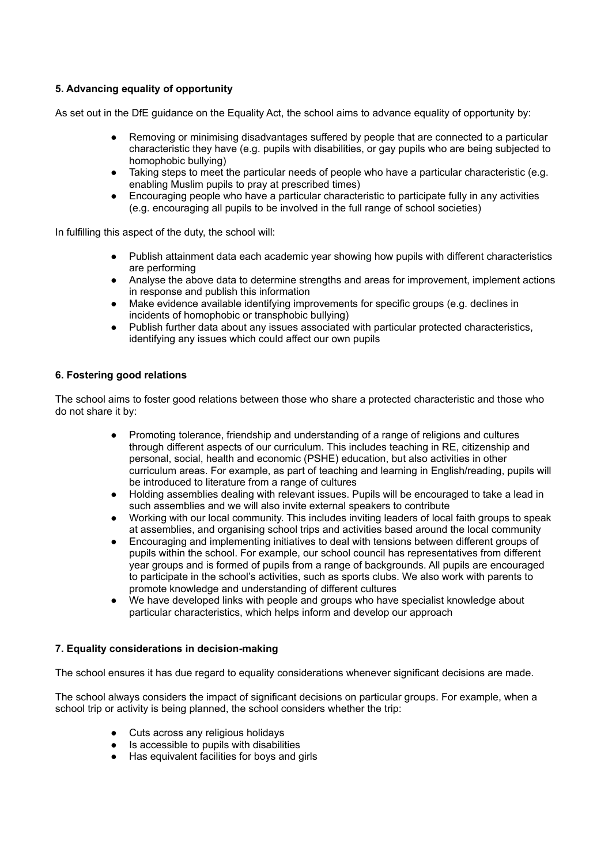# **5. Advancing equality of opportunity**

As set out in the DfE guidance on the Equality Act, the school aims to advance equality of opportunity by:

- Removing or minimising disadvantages suffered by people that are connected to a particular characteristic they have (e.g. pupils with disabilities, or gay pupils who are being subjected to homophobic bullying)
- Taking steps to meet the particular needs of people who have a particular characteristic (e.g. enabling Muslim pupils to pray at prescribed times)
- Encouraging people who have a particular characteristic to participate fully in any activities (e.g. encouraging all pupils to be involved in the full range of school societies)

In fulfilling this aspect of the duty, the school will:

- Publish attainment data each academic year showing how pupils with different characteristics are performing
- Analyse the above data to determine strengths and areas for improvement, implement actions in response and publish this information
- Make evidence available identifying improvements for specific groups (e.g. declines in incidents of homophobic or transphobic bullying)
- Publish further data about any issues associated with particular protected characteristics, identifying any issues which could affect our own pupils

# **6. Fostering good relations**

The school aims to foster good relations between those who share a protected characteristic and those who do not share it by:

- Promoting tolerance, friendship and understanding of a range of religions and cultures through different aspects of our curriculum. This includes teaching in RE, citizenship and personal, social, health and economic (PSHE) education, but also activities in other curriculum areas. For example, as part of teaching and learning in English/reading, pupils will be introduced to literature from a range of cultures
- Holding assemblies dealing with relevant issues. Pupils will be encouraged to take a lead in such assemblies and we will also invite external speakers to contribute
- Working with our local community. This includes inviting leaders of local faith groups to speak at assemblies, and organising school trips and activities based around the local community
- Encouraging and implementing initiatives to deal with tensions between different groups of pupils within the school. For example, our school council has representatives from different year groups and is formed of pupils from a range of backgrounds. All pupils are encouraged to participate in the school's activities, such as sports clubs. We also work with parents to promote knowledge and understanding of different cultures
- We have developed links with people and groups who have specialist knowledge about particular characteristics, which helps inform and develop our approach

# **7. Equality considerations in decision-making**

The school ensures it has due regard to equality considerations whenever significant decisions are made.

The school always considers the impact of significant decisions on particular groups. For example, when a school trip or activity is being planned, the school considers whether the trip:

- Cuts across any religious holidays
- Is accessible to pupils with disabilities
- Has equivalent facilities for boys and girls